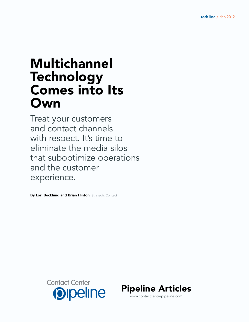# Multichannel Technology Comes into Its Own

Treat your customers and contact channels with respect. It's time to eliminate the media silos that suboptimize operations and the customer experience.

By Lori Bocklund and Brian Hinton, Strategic Contact



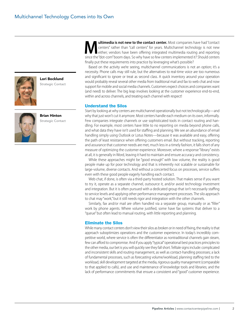

Lori Bocklund Strategic Contact



Brian Hinton Strategic Contact

**Multimedia is not new to the contact center.** Most companies have had "contact centers" rather than "call centers" for years. Multichannel technology is not new either; vendors have been offering integrated multimedia rou centers" rather than "call centers" for years. Multichannel technology is not new either; vendors have been offering integrated multimedia routing and reporting since the "dot-com" boom days. So why have so few centers implemented it? Should centers finally put these requirements into practice by leveraging what's possible?

Based on the activity we're seeing, multichannel communications is not an option; it's a necessity. Phone calls may still rule, but the alternatives to real-time voice are too numerous and significant to ignore or treat as second class. A quick inventory around your operation would probably reveal several other media from traditional mail and fax to web chat and now support for mobile and social media channels. Customers expect choices and companies want (and need) to deliver. The big leap involves looking at the customer experience end-to-end, within and across channels, and treating each channel with respect!

#### Understand the Silos

Start by looking at why centers are multichannel operationally but not technologically—and why that just won't cut it anymore. Most centers handle each medium on its own, informally. Few companies integrate channels or use sophisticated tools in contact routing and handling. For example, most centers have little to no reporting on media beyond phone calls, and what data they have isn't used for staffing and planning. We see an abundance of email handling simply using Outlook or Lotus Notes—because it was available and easy, offering the path of least resistance when offering customers email. But without tracking, reporting and assurance that customer needs are met, much less in a timely fashion, it falls short of any measure of optimizing the customer experience. Moreover, where a response "library" exists at all, it is generally in Word, leaving it hard to maintain and ensure accuracy and consistency.

While these approaches might be "good enough" with low volume, the reality is good people make up for poor technology and that is inherently not scalable or sustainable for large-volume, diverse contacts. And without a concerted focus on processes, service suffers even with these good people eagerly handling each contact.

Web chat, if done, is often via a third-party hosted solution. That makes sense if you want to try it, operate as a separate channel, outsource it, and/or avoid technology investment and integration. But it is often pursued with a dedicated group that isn't necessarily staffing to service levels and applying other performance management processes. The silo approach to chat may "work," but it still needs rigor and integration with the other channels.

Similarly, fax and/or mail are often handled via a separate group, manually or as "filler" work by phone agents. Where volume justified, some have fax systems that deliver to a "queue" but often lead to manual routing, with little reporting and planning.

#### Eliminate the Silos

While many contact centers don't view their silos as broken or in need of fixing, the reality is that approach suboptimizes operations and the customer experience. In today's incredibly competitive world, where service is often the differentiator as nontraditional channels gain steam, few can afford to compromise. And if you apply "typical" operational best practices principles to the other media, our bet is you will quickly see they fall short. Telltale signs include: complicated and inconsistent skills and routing management, as well as contact-handling processes; a lack of fundamental processes, such as forecasting volume/workload, planning staffing tied to the workload, skill development targeted at the media, rigorous quality management (comparable to that applied to calls), and use and maintenance of knowledge tools and libraries; and the lack of performance commitments that ensure a consistent and "good" customer experience.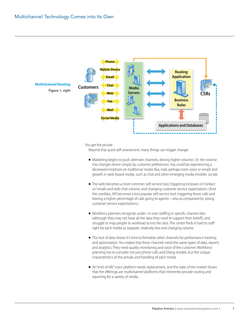

You get the picture.

Beyond that quick self-assessment, many things can trigger change:

- Marketing begins to push alternate channels, driving higher volumes. Or, the volume mix changes driven simply by customer preferences. You could be experiencing a decreased emphasis on traditional media (fax, mail, perhaps even voice or email) and growth in web-based media, such as chat and other emerging media (mobile, social).
- The web becomes a more common self-service tool, triggering increases in "contact us" emails and web chat volume, and changing customer service expectations. (And the corollary, IVR becomes a less popular self-service tool, triggering fewer calls and leaving a higher percentage of calls going to agents—also accompanied by strong customer service expectations.)
- Workforce planners recognize under- or over-staffing in specific channel silos (although they may not have all the data they need to support their belief!), and struggle to map people to workload across the silos. The center finds it hard to staff right for each media as separate, relatively low and changing volume.
- The lack of data shows it's time to formalize other channels for performance tracking and optimization. You realize that these channels need the same types of data, reports and analytics. They need quality monitoring and voice of the customer. Workforce planning has to consider not just phone calls and Erlang models, but the unique characteristics of the arrivals and handling of each media.
- An "end-of-life" voice platform needs replacement, and the state of the market shows that the offerings are multichannel platforms that inherently provide routing and reporting for a variety of media.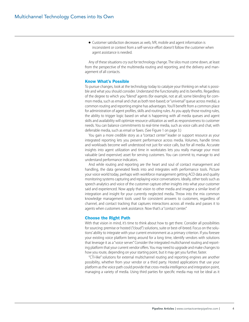● Customer satisfaction decreases as web, IVR, mobile and agent information is inconsistent or context from a self-service effort doesn't follow the customer when agent assistance is needed.

Any of these situations cry out for technology change. The silos must come down, at least from the perspective of the multimedia routing and reporting, and the delivery and management of all contacts.

#### Know What's Possible

To pursue changes, look at the technology today to catalyze your thinking on what is possible and what you should consider. Understand the functionality and its benefits. Regardless of the degree to which you "blend" agents (for example, not at all; some blending for common media, such as email and chat as both text-based; or "universal" queue across media), a common routing and reporting engine has advantages. You'll benefit from a common place for administration of agent profiles, skills and routing rules. As you apply those routing rules, the ability to trigger logic based on what is happening with all media queues and agent skills and availability will optimize resource utilization as well as responsiveness to customer needs. You can balance commitments to real-time media, such as voice calls and chat, with deferrable media, such as email or faxes. (See Figure 1 on page 3.)

You gain a more credible story as a "contact center" leader or support resource as your integrated reporting lets you present performance across media. Volumes, handle times and workloads become well understood not just for voice calls, but for all media. Accurate insights into agent utilization and time in workstates lets you really manage your most valuable (and expensive) asset for serving customers. You can commit to, manage to and understand performance indicators.

And while routing and reporting are the heart and soul of contact management and handling, the data generated feeds into and integrates with performance tools. Picture your voice world today, perhaps with workforce management getting ACD data and quality monitoring systems capturing and replaying voice conversations. Ideally, other tools such as speech analytics and voice of the customer capture other insights into what your customer said and experienced. Now apply that vision to other media and imagine a similar level of integration and insight for your currently neglected media. Throw into the mix common knowledge management tools used for consistent answers to customers, regardless of channel, and contact tracking that captures interactions across all media and passes it to agents when customers seek assistance. Now that's a "*contact* center."

#### Choose the Right Path

With that vision in mind, it's time to think about how to get there. Consider all possibilities for sourcing: premise or hosted ("cloud") solutions, suite or best-of-breed. Focus on the solutions' ability to integrate with your current environment as a primary criterion. If you foresee your existing voice platform being around for a long time, identify vendors with solutions that leverage it as a "voice server." Consider the integrated multichannel routing and reporting platform that your current vendor offers. You may need to upgrade and make changes to how you route, depending on your starting point, but it may get you further, faster.

"CTI-like" solutions for external multichannel routing and reporting engines are another possibility, whether from your vendor or a third party. Hosted applications that use your platform as the voice path could provide that cross-media intelligence and integration point, managing a variety of media. Using third parties for specific media may not be ideal as it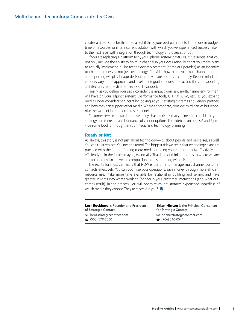creates a silo of sorts for that media. But if that's your best path due to limitations in budget, time or resources, or if it's a current solution with which you've experienced success, take it to the next level with integration through technology or processes or both.

If you are replacing a platform (e.g., your "phone system" or "ACD"), it is essential that you not only include the ability to do multichannel in your evaluation, but that you make plans to actually implement it. Use technology replacement (or major upgrades) as an incentive to change processes, not just technology. Consider how big a role multichannel routing and reporting will play in your decision and evaluate options accordingly. Keep in mind that vendors vary in the approach and level of integration across media, and the corresponding architectures require different levels of IT support.

Finally, as you define your path, consider the impact your new multichannel environment will have on your adjunct systems (performance tools, CTI, KM, CRM, etc.) as you expand media under consideration. Start by looking at your existing systems and vendor partners and how they can support other media. Where appropriate, consider third parties but recognize the value of integration across channels.

Customer service interactions have many characteristics that you need to consider in your strategy and there are an abundance of vendor options. The sidebars on pages 6 and 7 provide some food for thought in your media and technology planning.

#### Ready or Not

As always, this story is not just about technology—it's about people and processes, as well. You can't just replace: You need to retool. The biggest risk we see is that technology plans are pursued with the intent of doing more media or doing your current media effectively and efficiently… in the future, maybe, eventually. That kind of thinking got us to where we are. The technology isn't new; the compulsion to do something with it is.

The reality for most centers is that NOW is the time to manage multichannel customer contacts effectively. You can optimize your operations: save money through more efficient resource use, make more time available for relationship building and selling, and have greater insights into what's working (or not) in your customer interactions (and what outcomes result). In the process, you will optimize your customers' experience regardless of which media they choose. They're ready. Are you?  $\bullet$ 

### Lori Bocklund is Founder and President of Strategic Contact.

lori@strategiccontact.com  $\bar{a}$  (503) 579-8560

**Brian Hinton** is the Principal Consultant for Strategic Contact. brian@strategiccontact.com

- - $\hat{C}$  (706) 310-0544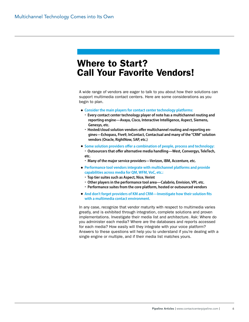### Where to Start? Call Your Favorite Vendors!

A wide range of vendors are eager to talk to you about how their solutions can support multimedia contact centers. Here are some considerations as you begin to plan.

- **Consider the main players for contact center technology platforms:**
	- **Every contact center technology player of note has a multichannel routing and reporting engine—Avaya, Cisco, Interactive Intelligence, Aspect, Siemens, Genesys, etc.**
	- **Hosted/cloud solution vendors offer multichannel routing and reporting engines—Echopass, Five9, InContact, Contactual and many of the "CRM" solution vendors (Oracle, RightNow, SAP, etc.)**
- **Some solution providers offer a combination of people, process and technology:**
	- **Outsourcers that offer alternative media handling—West, Convergys, TeleTech, etc.**
	- **Many of the major service providers—Verizon, IBM, Accenture, etc.**
- **Performance tool vendors integrate with multichannel platforms and provide capabilities across media for QM, WFM, VoC, etc.:**
	- **Top tier suites such as Aspect, Nice, Verint**
	- **Other players in the performance tool area—Calabrio, Envision, VPI, etc.**
	- **Performance suites from the core platform, hosted or outsourced vendors**
- And don't forget providers of KM and CRM—Investigate how their solution fits **with a multimedia contact environment.**

In any case, recognize that vendor maturity with respect to multimedia varies greatly, and is exhibited through integration, complete solutions and proven implementations. Investigate their media list and architecture. Ask: Where do you administer each media? Where are the databases and reports accessed for each media? How easily will they integrate with your voice platform? Answers to these questions will help you to understand if you're dealing with a single engine or multiple, and if their media list matches yours.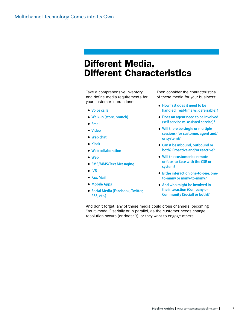## Different Media, Different Characteristics

Take a comprehensive inventory and define media requirements for your customer interactions:

- **Voice calls**
- **Walk-in (store, branch)**
- **Email**
- **Video**
- **Web chat**
- **Kiosk**
- **Web collaboration**
- **Web**
- **SMS/MMS/Text Messaging**
- **IVR**
- **Fax, Mail**
- **Mobile Apps**
- **Social Media (Facebook, Twitter, RSS, etc.)**

Then consider the characteristics of these media for your business:

- **How fast does it need to be handled (real-time vs. deferrable)?**
- **Does an agent need to be involved (self service vs. assisted service)?**
- **Will there be single or multiple sessions (for customer, agent and/ or system)?**
- **Can it be inbound, outbound or both? Proactive and/or reactive?**
- **Will the customer be remote or face-to-face with the CSR or system?**
- **Is the interaction one-to-one, oneto-many or many-to-many?**
- **And who might be involved in the interaction (Company or Community [Social] or both)?**

And don't forget, any of these media could cross channels, becoming "multi-modal," serially or in parallel, as the customer needs change, resolution occurs (or doesn't), or they want to engage others.